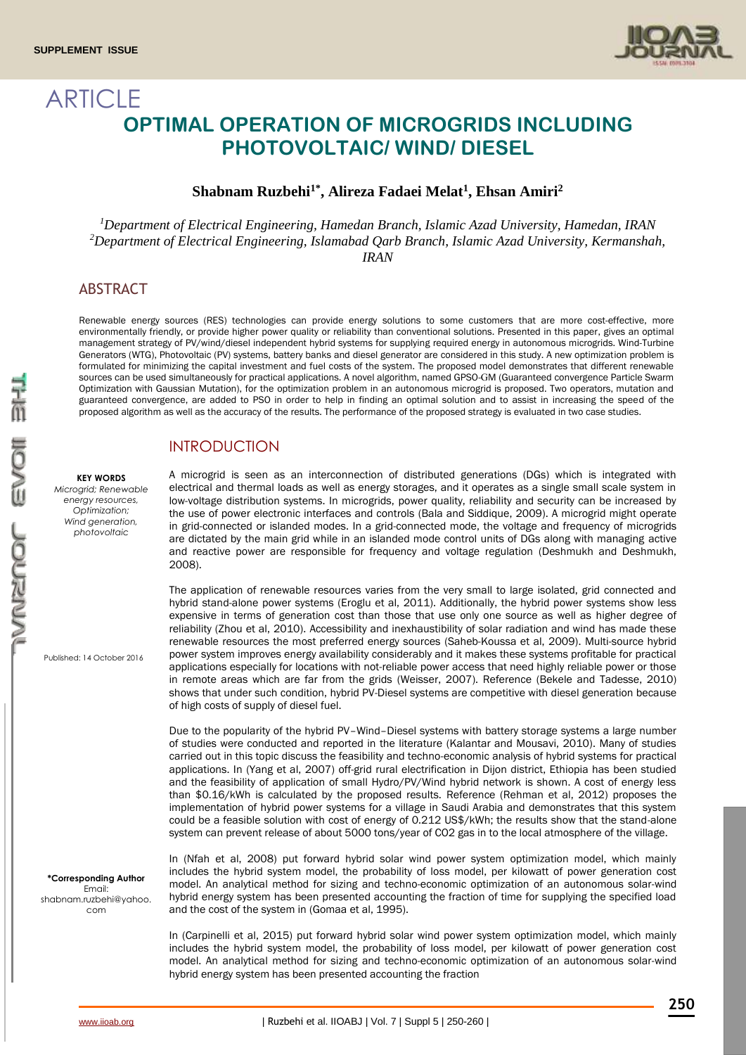

# **ARTICLE OPTIMAL OPERATION OF MICROGRIDS INCLUDING PHOTOVOLTAIC/ WIND/ DIESEL**

### **Shabnam Ruzbehi1\* , Alireza Fadaei Melat<sup>1</sup> , Ehsan Amiri<sup>2</sup>**

*<sup>1</sup>Department of Electrical Engineering, Hamedan Branch, Islamic Azad University, Hamedan, IRAN <sup>2</sup>Department of Electrical Engineering, Islamabad Qarb Branch, Islamic Azad University, Kermanshah, IRAN* 

# **ABSTRACT**

Renewable energy sources (RES) technologies can provide energy solutions to some customers that are more cost-effective, more environmentally friendly, or provide higher power quality or reliability than conventional solutions. Presented in this paper, gives an optimal management strategy of PV/wind/diesel independent hybrid systems for supplying required energy in autonomous microgrids. Wind-Turbine Generators (WTG), Photovoltaic (PV) systems, battery banks and diesel generator are considered in this study. A new optimization problem is formulated for minimizing the capital investment and fuel costs of the system. The proposed model demonstrates that different renewable sources can be used simultaneously for practical applications. A novel algorithm, named GPSO-GM (Guaranteed convergence Particle Swarm Optimization with Gaussian Mutation), for the optimization problem in an autonomous microgrid is proposed. Two operators, mutation and guaranteed convergence, are added to PSO in order to help in finding an optimal solution and to assist in increasing the speed of the proposed algorithm as well as the accuracy of the results. The performance of the proposed strategy is evaluated in two case studies.

## INTRODUCTION

A microgrid is seen as an interconnection of distributed generations (DGs) which is integrated with electrical and thermal loads as well as energy storages, and it operates as a single small scale system in low-voltage distribution systems. In microgrids, power quality, reliability and security can be increased by the use of power electronic interfaces and controls (Bala and Siddique, 2009). A microgrid might operate in grid-connected or islanded modes. In a grid-connected mode, the voltage and frequency of microgrids are dictated by the main grid while in an islanded mode control units of DGs along with managing active and reactive power are responsible for frequency and voltage regulation (Deshmukh and Deshmukh, 2008).

The application of renewable resources varies from the very small to large isolated, grid connected and hybrid stand-alone power systems (Eroglu et al, 2011). Additionally, the hybrid power systems show less expensive in terms of generation cost than those that use only one source as well as higher degree of reliability (Zhou et al, 2010). Accessibility and inexhaustibility of solar radiation and wind has made these renewable resources the most preferred energy sources (Saheb-Koussa et al, 2009). Multi-source hybrid power system improves energy availability considerably and it makes these systems profitable for practical applications especially for locations with not-reliable power access that need highly reliable power or those in remote areas which are far from the grids (Weisser, 2007). Reference (Bekele and Tadesse, 2010) shows that under such condition, hybrid PV-Diesel systems are competitive with diesel generation because of high costs of supply of diesel fuel.

Due to the popularity of the hybrid PV–Wind–Diesel systems with battery storage systems a large number of studies were conducted and reported in the literature (Kalantar and Mousavi, 2010). Many of studies carried out in this topic discuss the feasibility and techno-economic analysis of hybrid systems for practical applications. In (Yang et al, 2007) off-grid rural electrification in Dijon district, Ethiopia has been studied and the feasibility of application of small Hydro/PV/Wind hybrid network is shown. A cost of energy less than \$0.16/kWh is calculated by the proposed results. Reference (Rehman et al, 2012) proposes the implementation of hybrid power systems for a village in Saudi Arabia and demonstrates that this system could be a feasible solution with cost of energy of 0.212 US\$/kWh; the results show that the stand-alone system can prevent release of about 5000 tons/year of CO2 gas in to the local atmosphere of the village.

In (Nfah et al, 2008) put forward hybrid solar wind power system optimization model, which mainly includes the hybrid system model, the probability of loss model, per kilowatt of power generation cost model. An analytical method for sizing and techno-economic optimization of an autonomous solar-wind hybrid energy system has been presented accounting the fraction of time for supplying the specified load and the cost of the system in (Gomaa et al, 1995).

In (Carpinelli et al, 2015) put forward hybrid solar wind power system optimization model, which mainly includes the hybrid system model, the probability of loss model, per kilowatt of power generation cost model. An analytical method for sizing and techno-economic optimization of an autonomous solar-wind hybrid energy system has been presented accounting the fraction

Published: 14 October 2016

**KEY WORDS** *Microgrid; Renewable energy resources, Optimization; Wind generation, photovoltaic*

**\*Corresponding Author** Email: shabnam.ruzbehi@yahoo. com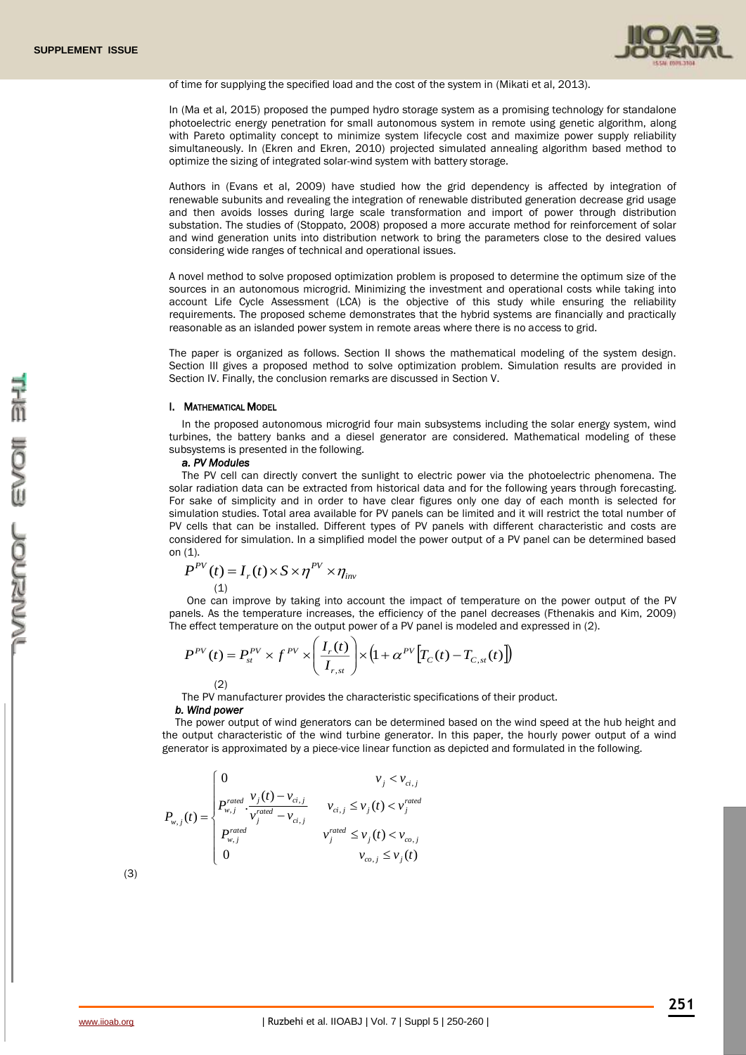

of time for supplying the specified load and the cost of the system in (Mikati et al, 2013).

In (Ma et al, 2015) proposed the pumped hydro storage system as a promising technology for standalone photoelectric energy penetration for small autonomous system in remote using genetic algorithm, along with Pareto optimality concept to minimize system lifecycle cost and maximize power supply reliability simultaneously. In (Ekren and Ekren, 2010) projected simulated annealing algorithm based method to optimize the sizing of integrated solar-wind system with battery storage.

Authors in (Evans et al, 2009) have studied how the grid dependency is affected by integration of renewable subunits and revealing the integration of renewable distributed generation decrease grid usage and then avoids losses during large scale transformation and import of power through distribution substation. The studies of (Stoppato, 2008) proposed a more accurate method for reinforcement of solar and wind generation units into distribution network to bring the parameters close to the desired values considering wide ranges of technical and operational issues.

A novel method to solve proposed optimization problem is proposed to determine the optimum size of the sources in an autonomous microgrid. Minimizing the investment and operational costs while taking into account Life Cycle Assessment (LCA) is the objective of this study while ensuring the reliability requirements. The proposed scheme demonstrates that the hybrid systems are financially and practically reasonable as an islanded power system in remote areas where there is no access to grid.

The paper is organized as follows. Section II shows the mathematical modeling of the system design. Section III gives a proposed method to solve optimization problem. Simulation results are provided in Section IV. Finally, the conclusion remarks are discussed in Section V.

#### I. MATHEMATICAL MODEL

In the proposed autonomous microgrid four main subsystems including the solar energy system, wind turbines, the battery banks and a diesel generator are considered. Mathematical modeling of these subsystems is presented in the following.

### *a. PV Modules*

The PV cell can directly convert the sunlight to electric power via the photoelectric phenomena. The solar radiation data can be extracted from historical data and for the following years through forecasting. For sake of simplicity and in order to have clear figures only one day of each month is selected for simulation studies. Total area available for PV panels can be limited and it will restrict the total number of PV cells that can be installed. Different types of PV panels with different characteristic and costs are considered for simulation. In a simplified model the power output of a PV panel can be determined based on  $(1)$ .

$$
P^{PV}(t) = I_r(t) \times S \times \eta^{PV} \times \eta_{inv}
$$
  
(1)

One can improve by taking into account the impact of temperature on the power output of the PV panels. As the temperature increases, the efficiency of the panel decreases (Fthenakis and Kim, 2009) The effect temperature on the output power of a PV panel is modeled and expressed in (2).

$$
P^{PV}(t) = P_{st}^{PV} \times f^{PV} \times \left(\frac{I_r(t)}{I_{r,st}}\right) \times \left(1 + \alpha^{PV} \left[T_C(t) - T_{C,st}(t)\right]\right)
$$

(2)

The PV manufacturer provides the characteristic specifications of their product.

#### *b. Wind power*

The power output of wind generators can be determined based on the wind speed at the hub height and the output characteristic of the wind turbine generator. In this paper, the hourly power output of a wind generator is approximated by a piece-vice linear function as depicted and formulated in the following.

$$
P_{w,j}(t) = \begin{cases} 0 & v_j < v_{ci,j} \\ P_{w,j}^{rated} \cdot \frac{v_j(t) - v_{ci,j}}{v_j^{rated} - v_{ci,j}} & v_{ci,j} \le v_j(t) < v_j^{rated} \\ P_{w,j}^{rated} & v_j^{rated} \le v_j(t) < v_{co,j} \\ 0 & v_{co,j} \le v_j(t) \end{cases}
$$

(3)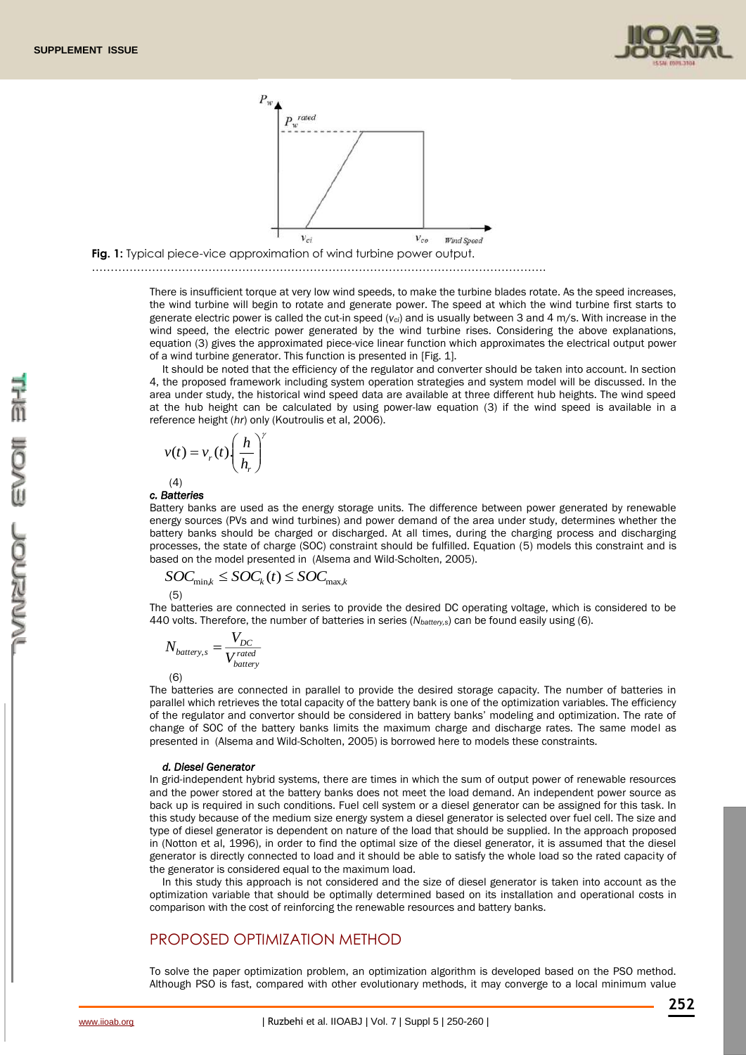





#### ………………………………………………………………………………………………………….

There is insufficient torque at very low wind speeds, to make the turbine blades rotate. As the speed increases, the wind turbine will begin to rotate and generate power. The speed at which the wind turbine first starts to generate electric power is called the cut-in speed (*vci*) and is usually between 3 and 4 m/s. With increase in the wind speed, the electric power generated by the wind turbine rises. Considering the above explanations, equation (3) gives the approximated piece-vice linear function which approximates the electrical output power of a wind turbine generator. This function is presented in [Fig. 1].

It should be noted that the efficiency of the regulator and converter should be taken into account. In section 4, the proposed framework including system operation strategies and system model will be discussed. In the area under study, the historical wind speed data are available at three different hub heights. The wind speed at the hub height can be calculated by using power-law equation (3) if the wind speed is available in a reference height (*hr*) only (Koutroulis et al, 2006).

$$
v(t) = v_r(t) \left(\frac{h}{h_r}\right)
$$
  
(4)

### *c. Batteries*

Battery banks are used as the energy storage units. The difference between power generated by renewable energy sources (PVs and wind turbines) and power demand of the area under study, determines whether the battery banks should be charged or discharged. At all times, during the charging process and discharging processes, the state of charge (SOC) constraint should be fulfilled. Equation (5) models this constraint and is based on the model presented in (Alsema and Wild-Scholten, 2005).

$$
SOC_{\min,k} \leq SOC_k(t) \leq SOC_{\max,k}
$$

γ

(5)

The batteries are connected in series to provide the desired DC operating voltage, which is considered to be 440 volts. Therefore, the number of batteries in series (*Nbattery,s*) can be found easily using (6).

$$
N_{battery, s} = \frac{V_{DC}}{V_{battery}^{rated}}
$$

(6)

The batteries are connected in parallel to provide the desired storage capacity. The number of batteries in parallel which retrieves the total capacity of the battery bank is one of the optimization variables. The efficiency of the regulator and convertor should be considered in battery banks' modeling and optimization. The rate of change of SOC of the battery banks limits the maximum charge and discharge rates. The same model as presented in (Alsema and Wild-Scholten, 2005) is borrowed here to models these constraints.

#### *d. Diesel Generator*

In grid-independent hybrid systems, there are times in which the sum of output power of renewable resources and the power stored at the battery banks does not meet the load demand. An independent power source as back up is required in such conditions. Fuel cell system or a diesel generator can be assigned for this task. In this study because of the medium size energy system a diesel generator is selected over fuel cell. The size and type of diesel generator is dependent on nature of the load that should be supplied. In the approach proposed in (Notton et al, 1996), in order to find the optimal size of the diesel generator, it is assumed that the diesel generator is directly connected to load and it should be able to satisfy the whole load so the rated capacity of the generator is considered equal to the maximum load.

In this study this approach is not considered and the size of diesel generator is taken into account as the optimization variable that should be optimally determined based on its installation and operational costs in comparison with the cost of reinforcing the renewable resources and battery banks.

### PROPOSED OPTIMIZATION METHOD

To solve the paper optimization problem, an optimization algorithm is developed based on the PSO method. Although PSO is fast, compared with other evolutionary methods, it may converge to a local minimum value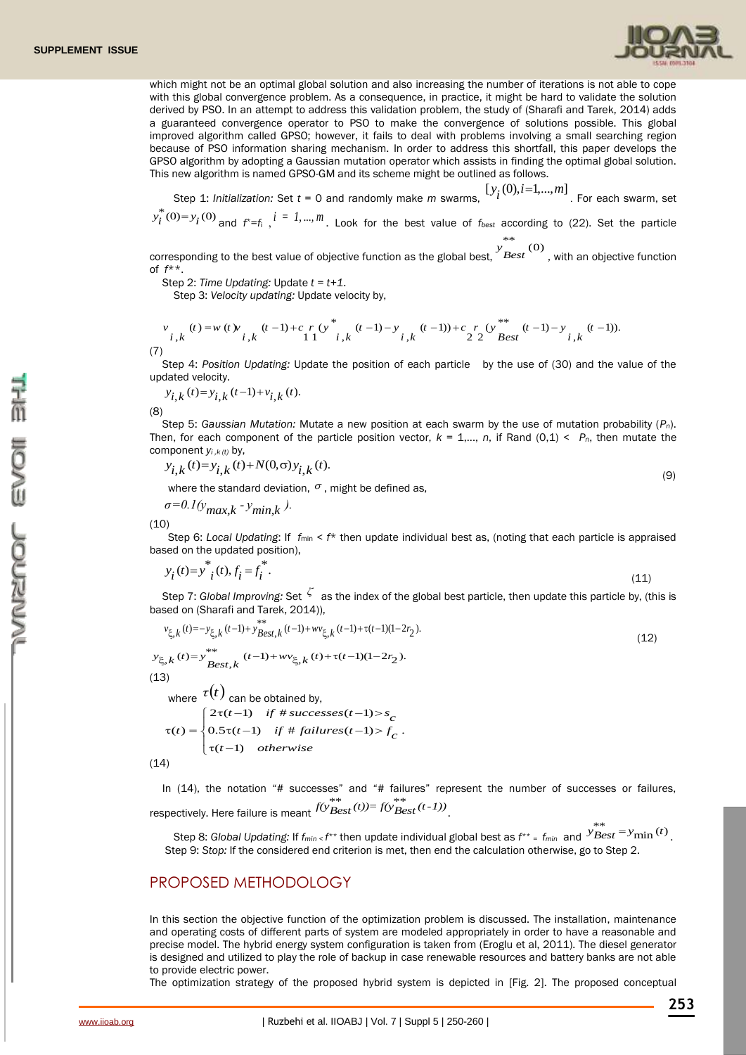

which might not be an optimal global solution and also increasing the number of iterations is not able to cope with this global convergence problem. As a consequence, in practice, it might be hard to validate the solution derived by PSO. In an attempt to address this validation problem, the study of (Sharafi and Tarek, 2014) adds a guaranteed convergence operator to PSO to make the convergence of solutions possible. This global improved algorithm called GPSO; however, it fails to deal with problems involving a small searching region because of PSO information sharing mechanism. In order to address this shortfall, this paper develops the GPSO algorithm by adopting a Gaussian mutation operator which assists in finding the optimal global solution. This new algorithm is named GPSO-GM and its scheme might be outlined as follows.

Step 1: *Initialization:* Set *t* = 0 and randomly make *m* swarms,  $[y_i(0), i=1,...,m]$  . For each swarm, set

 $y_i^*(0) = y_i(0)$  and  $f^* = f_i$ ,  $i = 1, ..., m$ . Look for the best value of  $f_{best}$  according to (22). Set the particle

corresponding to the best value of objective function as the global best, y \*\*<br>Best<sup>(0)</sup>, with an objective function of *f*\*\*.

Step 2: *Time Updating:* Update *t = t+1*.

Step 3: *Velocity updating:* Update velocity by,

$$
\begin{array}{c} v \quad (t) = w \ (t) v \quad (t-1) + c \ r \ (y^*) \quad (t-1) - y \quad (t-1) + c \ r \ (y^*) \quad (t-1) - y \quad (t-1) \\ i \ k \quad 1 \ 1 \quad i \ k \quad i \ k \end{array}
$$

(7)

Step 4: *Position Updating:* Update the position of each particle by the use of (30) and the value of the updated velocity.

$$
y_{i,k}(t) = y_{i,k}(t-1) + v_{i,k}(t).
$$

(8)

Step 5: *Gaussian Mutation:* Mutate a new position at each swarm by the use of mutation probability (*Pn*). Then, for each component of the particle position vector,  $k = 1,..., n$ , if Rand (0,1)  $\lt P_n$ , then mutate the component *yi ,k (t)* by,

$$
y_{i,k}(t) = y_{i,k}(t) + N(0,\sigma)y_{i,k}(t). \tag{9}
$$

where the standard deviation,  $\sigma$ , might be defined as,

$$
\sigma = 0.1(y_{max,k} - y_{min,k}).
$$

(10)

Step 6: *Local Updating*: If  $f_{min} < f^*$  then update individual best as, (noting that each particle is appraised based on the updated position),

$$
y_i(t) = y^*_{i}(t), f_i = f_i^*.
$$
\n(11)

Step 7: *Global Improving:* Set *ζ* as the index of the global best particle, then update this particle by, (this is based on (Sharafi and Tarek, 2014)),

$$
v_{\xi,k}(t) = -y_{\xi,k}(t-1) + y_{Best,k}^{**}(t-1) + w_{\xi,k}(t-1) + \tau(t-1)(1-2r_2).
$$
  
\n
$$
v_{\xi,k}(t) = y_{Best,k}^{**} (t-1) + w_{\xi,k}(t) + \tau(t-1)(1-2r_2).
$$
  
\n13)  
\nwhere  $\tau(t)$  can be obtained by,  
\n
$$
2\tau(t-1) \quad \text{if } t \text{ successes}(t-1) > s_c.
$$

 $(1)$ 

 $(t) = \{ 0.5\tau(t-1) \text{ if } \# \text{ failures}(t-1) > f_{\alpha} \}.$  $\begin{cases} \tau(t-1) & otherwise \end{cases}$ *c*  $f(t) = \begin{cases} 0.5\tau(t-1) & \text{if } \text{\# failures}(t-1) > f_c \end{cases}$  $\tau(t) = \begin{cases} 0.5\tau(t-1) & \text{if } \text{# failures}(t-1) > \end{cases}$  $(14)$ 

In (14), the notation "# successes" and "# failures" represent the number of successes or failures, respectively. Here failure is meant  $\widehat{f(y}_{Best}^{**}(t)) = \widehat{f(y}_{Best}^{**}(t-1))$ .

 Step 8: *Global Updating:* If *fmin < f \*\** then update individual global best as *f \*\* <sup>=</sup>fmin* and  $y_{\text{Best}}^{**} = y_{\text{min}}(t)$ . Step 9: *Stop:* If the considered end criterion is met, then end the calculation otherwise, go to Step 2.

### PROPOSED METHODOLOGY

In this section the objective function of the optimization problem is discussed. The installation, maintenance and operating costs of different parts of system are modeled appropriately in order to have a reasonable and precise model. The hybrid energy system configuration is taken from (Eroglu et al, 2011). The diesel generator is designed and utilized to play the role of backup in case renewable resources and battery banks are not able to provide electric power.

The optimization strategy of the proposed hybrid system is depicted in [Fig. 2]. The proposed conceptual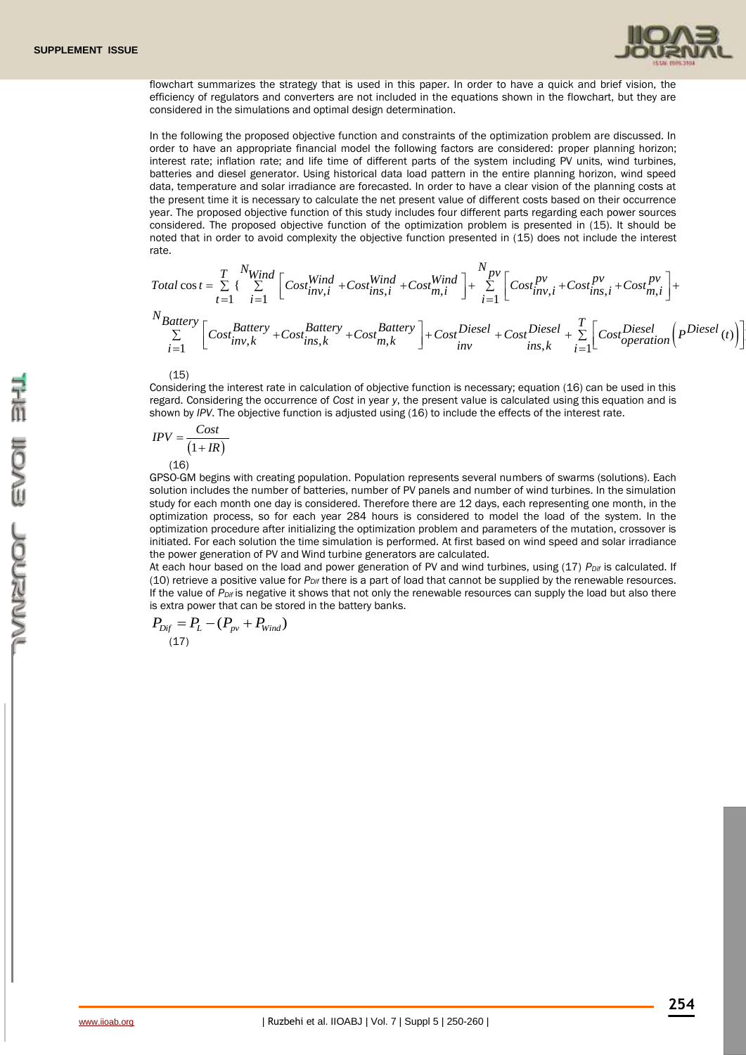

flowchart summarizes the strategy that is used in this paper. In order to have a quick and brief vision, the efficiency of regulators and converters are not included in the equations shown in the flowchart, but they are considered in the simulations and optimal design determination.

In the following the proposed objective function and constraints of the optimization problem are discussed. In order to have an appropriate financial model the following factors are considered: proper planning horizon; interest rate; inflation rate; and life time of different parts of the system including PV units, wind turbines, batteries and diesel generator. Using historical data load pattern in the entire planning horizon, wind speed data, temperature and solar irradiance are forecasted. In order to have a clear vision of the planning costs at the present time it is necessary to calculate the net present value of different costs based on their occurrence year. The proposed objective function of this study includes four different parts regarding each power sources considered. The proposed objective function of the optimization problem is presented in (15). It should be noted that in order to avoid complexity the objective function presented in (15) does not include the interest rate.

$$
Total \cos t = \sum_{t=1}^{T} \left\{ \sum_{i=1}^{N_{Wind}} \left[ Cost_{inv,i}^{Wind} + Cost_{ins,i}^{Wind} + Cost_{mj}^{Wind} \right] + \sum_{i=1}^{N_{pv}} \left[ Cost_{inv,i}^{pv} + Cost_{ins,i}^{pv} + Cost_{ins,i}^{pv} + Cost_{mj}^{pv} \right] + \sum_{i=1}^{N_{Battery}} \left[ Cost_{inv,k}^{Butery} + Cost_{ins,k}^{Battery} + Cost_{mj,k}^{Battery} \right] + Cost_{inv}^{Diesel} + Cost_{ins,k}^{Diesel} + \sum_{i=1}^{T} \left[ Cost_{operation}^{Diesel} \left( p^{Diesel} \right) \right] \right\}
$$

(15)

Considering the interest rate in calculation of objective function is necessary; equation (16) can be used in this regard. Considering the occurrence of *Cost* in year *y*, the present value is calculated using this equation and is shown by *IPV*. The objective function is adjusted using (16) to include the effects of the interest rate.

$$
IPV = \frac{Cost}{(1 + IR)}
$$
  
(16)

GPSO-GM begins with creating population. Population represents several numbers of swarms (solutions). Each solution includes the number of batteries, number of PV panels and number of wind turbines. In the simulation study for each month one day is considered. Therefore there are 12 days, each representing one month, in the optimization process, so for each year 284 hours is considered to model the load of the system. In the optimization procedure after initializing the optimization problem and parameters of the mutation, crossover is initiated. For each solution the time simulation is performed. At first based on wind speed and solar irradiance the power generation of PV and Wind turbine generators are calculated.

At each hour based on the load and power generation of PV and wind turbines, using (17) *PDif* is calculated. If (10) retrieve a positive value for *PDif* there is a part of load that cannot be supplied by the renewable resources. If the value of *PDif* is negative it shows that not only the renewable resources can supply the load but also there is extra power that can be stored in the battery banks.

$$
P_{\text{Dif}} = P_L - (P_{\text{pv}} + P_{\text{Wind}})
$$
\n(17)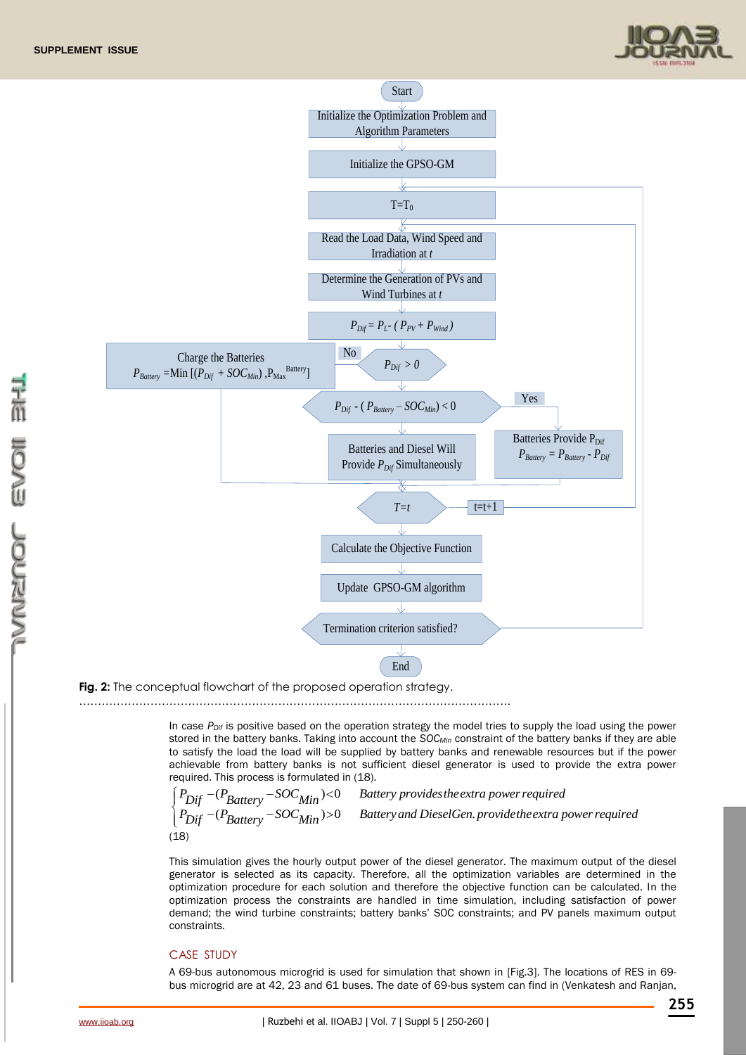



**Fig. 2:** The conceptual flowchart of the proposed operation strategy.

…………………………………………………………………………………………………….

In case *PDif* is positive based on the operation strategy the model tries to supply the load using the power stored in the battery banks. Taking into account the *SOCMin* constraint of the battery banks if they are able to satisfy the load the load will be supplied by battery banks and renewable resources but if the power achievable from battery banks is not sufficient diesel generator is used to provide the extra power required. This process is formulated in (18).

$$
\begin{cases}\nP_{\text{Dif}} - (P_{\text{Battery}} - SOC_{\text{Min}}) < 0 \\
P_{\text{Dif}} - (P_{\text{Battery}} - SOC_{\text{Min}}) > 0 \\
18 > \n\end{cases}
$$
\nButtery and DieselGen. provide the extra power required (18)

This simulation gives the hourly output power of the diesel generator. The maximum output of the diesel generator is selected as its capacity. Therefore, all the optimization variables are determined in the optimization procedure for each solution and therefore the objective function can be calculated. In the optimization process the constraints are handled in time simulation, including satisfaction of power demand; the wind turbine constraints; battery banks' SOC constraints; and PV panels maximum output constraints.

### CASE STUDY

A 69-bus autonomous microgrid is used for simulation that shown in [Fig.3]. The locations of RES in 69 bus microgrid are at 42, 23 and 61 buses. The date of 69-bus system can find in (Venkatesh and Ranjan,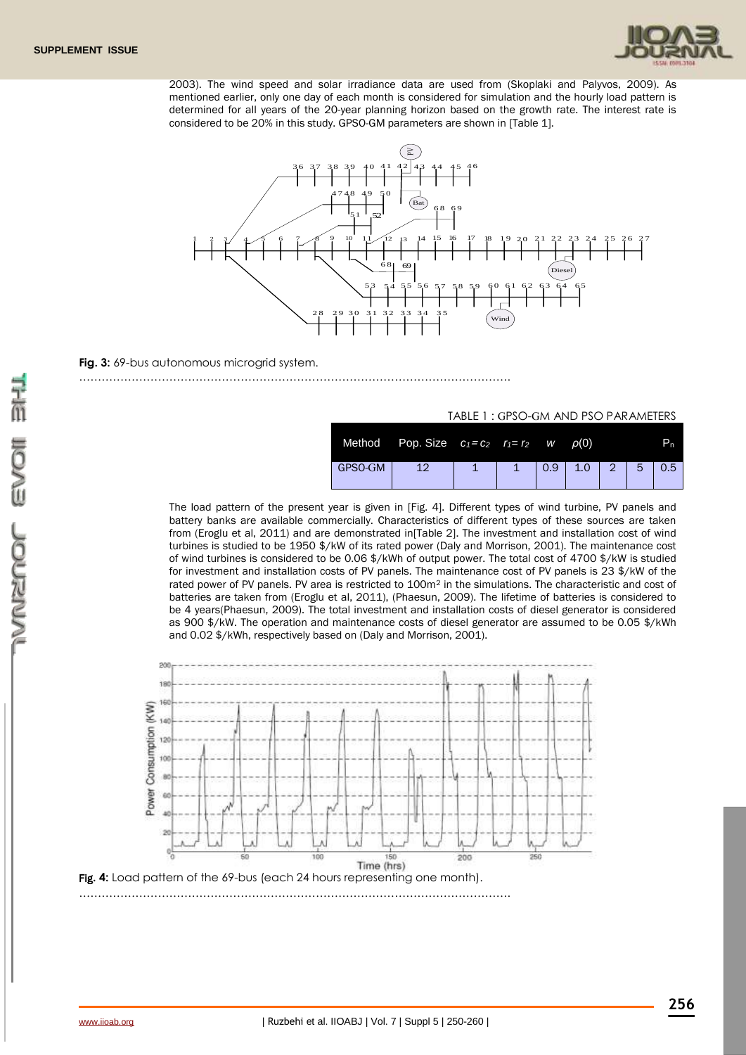

2003). The wind speed and solar irradiance data are used from (Skoplaki and Palyvos, 2009). As mentioned earlier, only one day of each month is considered for simulation and the hourly load pattern is determined for all years of the 20-year planning horizon based on the growth rate. The interest rate is considered to be 20% in this study. GPSO-GM parameters are shown in [Table 1].



### **Fig. 3:** 69-bus autonomous microgrid system.

#### …………………………………………………………………………………………………….

### TABLE 1 : GPSO-GM AND PSO PARAMETERS

|         | Method Pop. Size $c_1 = c_2$ $r_1 = r_2$ w |  |     | $\rho(0)$ |              |   | ъ.  |
|---------|--------------------------------------------|--|-----|-----------|--------------|---|-----|
| GPSO-GM | 12                                         |  | 0.9 | 1.0       | $\mathbb{Z}$ | 5 | 0.5 |

The load pattern of the present year is given in [Fig. 4]. Different types of wind turbine, PV panels and battery banks are available commercially. Characteristics of different types of these sources are taken from (Eroglu et al, 2011) and are demonstrated in[Table 2]. The investment and installation cost of wind turbines is studied to be 1950 \$/kW of its rated power (Daly and Morrison, 2001). The maintenance cost of wind turbines is considered to be 0.06 \$/kWh of output power. The total cost of 4700 \$/kW is studied for investment and installation costs of PV panels. The maintenance cost of PV panels is 23 \$/kW of the rated power of PV panels. PV area is restricted to 100m<sup>2</sup> in the simulations. The characteristic and cost of batteries are taken from (Eroglu et al, 2011), (Phaesun, 2009). The lifetime of batteries is considered to be 4 years(Phaesun, 2009). The total investment and installation costs of diesel generator is considered as 900 \$/kW. The operation and maintenance costs of diesel generator are assumed to be 0.05 \$/kWh and 0.02 \$/kWh, respectively based on (Daly and Morrison, 2001).

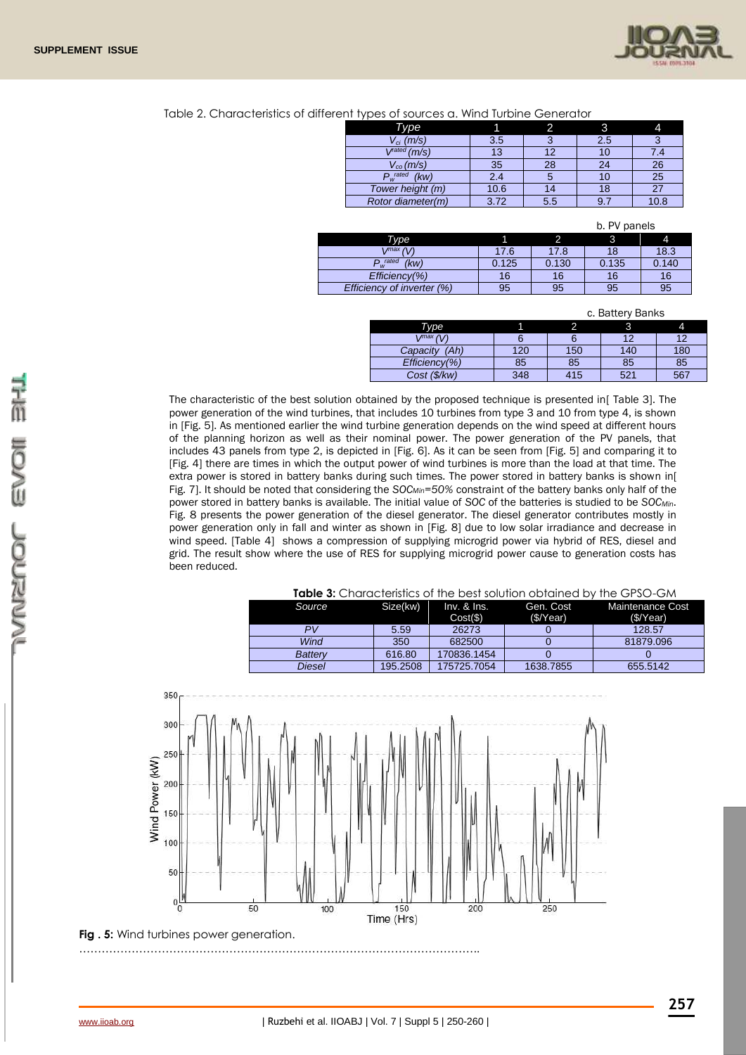

#### Table 2. Characteristics of different types of sources a. Wind Turbine Generator

| . .                       |      |     |     |      |
|---------------------------|------|-----|-----|------|
| Type                      |      |     |     |      |
| $V_{ci}$ (m/s)            | 3.5  |     | 2.5 |      |
| $V^{\text{rated}}(m/s)$   | 13   | 12  | 10  | 7.4  |
| $V_{co}(m/s)$             | 35   | 28  | 24  | 26   |
| $P_w^{\text{rated}}$ (kw) | 2.4  |     | 10  | 25   |
| Tower height (m)          | 10.6 |     | 18  |      |
| Rotor diameter(m)         | 3.72 | 5.5 | 9.  | 10.8 |

|  | b. PV panels |
|--|--------------|
|  |              |

| Type                       |       |       |       |       |
|----------------------------|-------|-------|-------|-------|
| (1)<br>$max$               | 17.6  | 17.8  | 18    | 18.3  |
| D rated<br>(kw)<br>W       | 0.125 | 0.130 | 0.135 | 0.140 |
| $Efficiency(\% )$          | 16    | 16    | 16    | 16    |
| Efficiency of inverter (%) | 95    | 95    | 95    | 95    |

|  | c. Battery Banks |  |  |
|--|------------------|--|--|
|--|------------------|--|--|

| <b>Type</b>       |     |     |     |     |
|-------------------|-----|-----|-----|-----|
| max               |     |     |     | 10  |
| (Ah)<br>Capacity  | 120 | 150 | 140 | 180 |
| $Efficiency(\% )$ | 85  | 85  | 85  | 85  |
| Cost (\$/kw)      | 348 | 415 | 521 | 567 |

The characteristic of the best solution obtained by the proposed technique is presented in[ Table 3]. The power generation of the wind turbines, that includes 10 turbines from type 3 and 10 from type 4, is shown in [Fig. 5]. As mentioned earlier the wind turbine generation depends on the wind speed at different hours of the planning horizon as well as their nominal power. The power generation of the PV panels, that includes 43 panels from type 2, is depicted in [Fig. 6]. As it can be seen from [Fig. 5] and comparing it to [Fig. 4] there are times in which the output power of wind turbines is more than the load at that time. The extra power is stored in battery banks during such times. The power stored in battery banks is shown in[ Fig. 7]. It should be noted that considering the *SOCMin=50%* constraint of the battery banks only half of the power stored in battery banks is available. The initial value of *SOC* of the batteries is studied to be *SOCMin*. Fig. 8 presents the power generation of the diesel generator. The diesel generator contributes mostly in power generation only in fall and winter as shown in [Fig. 8] due to low solar irradiance and decrease in wind speed. [Table 4] shows a compression of supplying microgrid power via hybrid of RES, diesel and grid. The result show where the use of RES for supplying microgrid power cause to generation costs has been reduced.

| <b>Table 3:</b> Characteristics of the best solution obtained by the GPSO-GM |  |
|------------------------------------------------------------------------------|--|
|------------------------------------------------------------------------------|--|

| <b>Source</b>  | Size(kw) | $Inv.$ & $Ins.$<br>Cost( <b>\$</b> ) | Gen. Cost<br>(S/Year) | Maintenance Cost<br>(S/Year) |
|----------------|----------|--------------------------------------|-----------------------|------------------------------|
| PV             | 5.59     | 26273                                |                       | 128.57                       |
| Wind           | 350      | 682500                               |                       | 81879.096                    |
| <b>Battery</b> | 616.80   | 170836.1454                          |                       |                              |
| Diesel         | 195.2508 | 175725.7054                          | 1638.7855             | 655.5142                     |

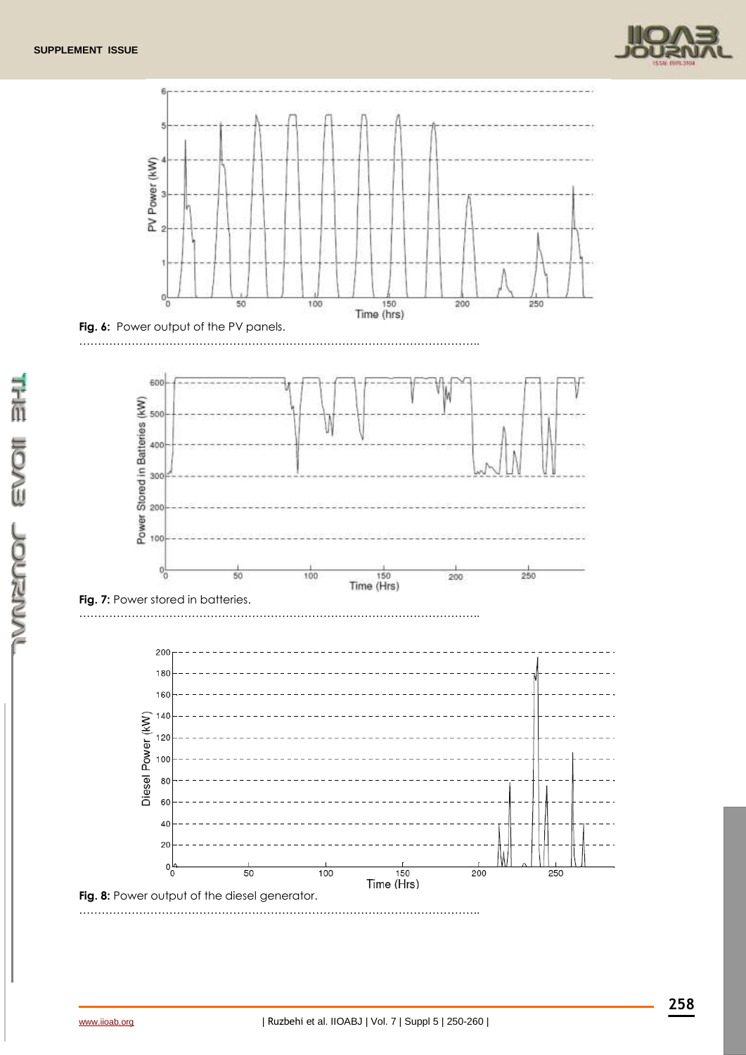







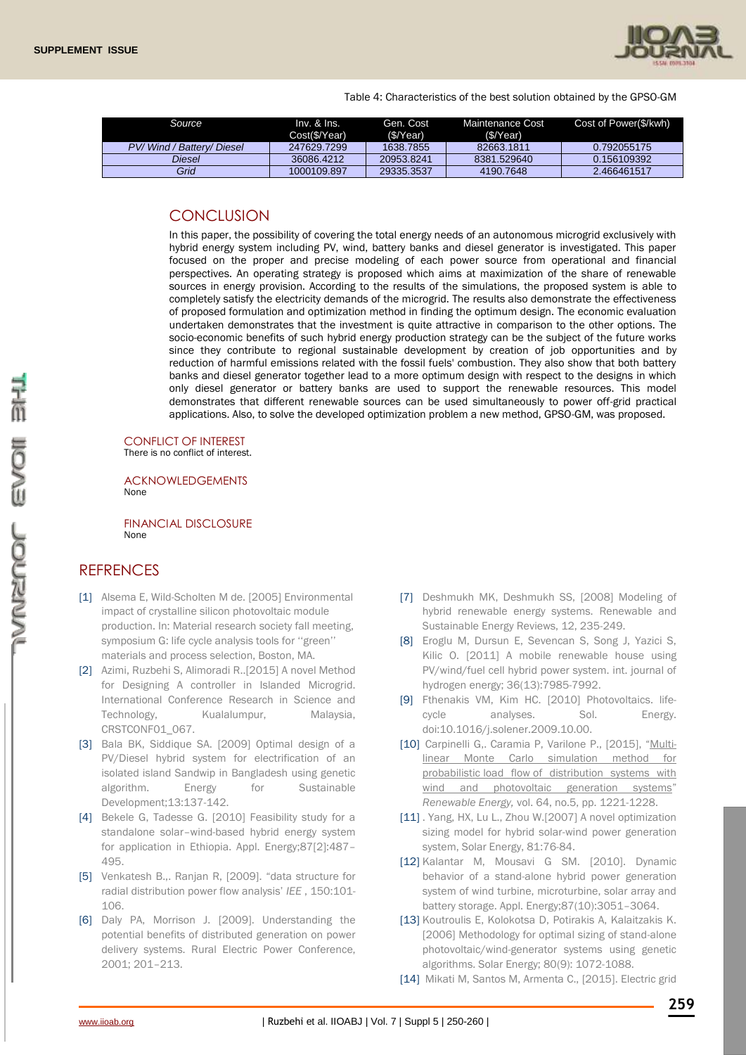

Table 4: Characteristics of the best solution obtained by the GPSO-GM

| Source                 | $Inv.$ & $Ins.$<br>Cost(\$/Year) | Gen. Cost<br>(\$/Year) | Maintenance Cost<br>(S/Year) | Cost of Power(\$/kwh) |
|------------------------|----------------------------------|------------------------|------------------------------|-----------------------|
| PV/Wind/Battery/Diesel | 247629.7299                      | 1638.7855              | 82663.1811                   | 0.792055175           |
| Diesel                 | 36086.4212                       | 20953.8241             | 8381.529640                  | 0.156109392           |
| Grid                   | 1000109.897                      | 29335.3537             | 4190.7648                    | 2.466461517           |

### **CONCLUSION**

In this paper, the possibility of covering the total energy needs of an autonomous microgrid exclusively with hybrid energy system including PV, wind, battery banks and diesel generator is investigated. This paper focused on the proper and precise modeling of each power source from operational and financial perspectives. An operating strategy is proposed which aims at maximization of the share of renewable sources in energy provision. According to the results of the simulations, the proposed system is able to completely satisfy the electricity demands of the microgrid. The results also demonstrate the effectiveness of proposed formulation and optimization method in finding the optimum design. The economic evaluation undertaken demonstrates that the investment is quite attractive in comparison to the other options. The socio-economic benefits of such hybrid energy production strategy can be the subject of the future works since they contribute to regional sustainable development by creation of job opportunities and by reduction of harmful emissions related with the fossil fuels' combustion. They also show that both battery banks and diesel generator together lead to a more optimum design with respect to the designs in which only diesel generator or battery banks are used to support the renewable resources. This model demonstrates that different renewable sources can be used simultaneously to power off-grid practical applications. Also, to solve the developed optimization problem a new method, GPSO-GM, was proposed.

CONFLICT OF INTEREST There is no conflict of interest.

ACKNOWLEDGEMENTS None

FINANCIAL DISCLOSURE None

# **REFRENCES**

- [1] Alsema E, Wild-Scholten M de. [2005] Environmental impact of crystalline silicon photovoltaic module production. In: Material research society fall meeting, symposium G: life cycle analysis tools for ''green'' materials and process selection, Boston, MA.
- [2] Azimi, Ruzbehi S, Alimoradi R..[2015] A novel Method for Designing A controller in Islanded Microgrid. International Conference Research in Science and Technology, Kualalumpur, Malaysia, CRSTCONF01\_067.
- [3] Bala BK, Siddique SA. [2009] Optimal design of a PV/Diesel hybrid system for electrification of an isolated island Sandwip in Bangladesh using genetic algorithm. Energy for Sustainable Development;13:137-142.
- [4] Bekele G, Tadesse G. [2010] Feasibility study for a standalone solar–wind-based hybrid energy system for application in Ethiopia. Appl. Energy;87[2]:487– 495.
- [5] Venkatesh B.,. Ranjan R, [2009]. "data structure for radial distribution power flow analysis' *IEE* , 150:101- 106.
- [6] Daly PA, Morrison J. [2009]. Understanding the potential benefits of distributed generation on power delivery systems. Rural Electric Power Conference, 2001; 201–213.
- [7] Deshmukh MK, Deshmukh SS, [2008] Modeling of hybrid renewable energy systems. Renewable and Sustainable Energy Reviews, 12, 235-249.
- [8] Eroglu M, Dursun E, Sevencan S, Song J, Yazici S, Kilic O. [2011] A mobile renewable house using PV/wind/fuel cell hybrid power system. int. journal of hydrogen energy; 36(13):7985-7992.
- [9] Fthenakis VM, Kim HC. [2010] Photovoltaics. lifecycle analyses. Sol. Energy. doi:10.1016/j.solener.2009.10.00.
- [10] Carpinelli G,. Caramia P, Varilone P., [2015], "[Multi](http://www.sciencedirect.com/science/article/pii/S0960148114007435)[linear Monte Carlo simulation method for](http://www.sciencedirect.com/science/article/pii/S0960148114007435)  probabilistic load flow [of distribution systems with](http://www.sciencedirect.com/science/article/pii/S0960148114007435)  [wind and photovoltaic generation systems](http://www.sciencedirect.com/science/article/pii/S0960148114007435)" *Renewable Energy,* vol. 64, no.5, pp. 1221-1228.
- [11] . Yang, HX, Lu L., Zhou W.[2007] A novel optimization sizing model for hybrid solar-wind power generation system, Solar Energy, 81:76-84.
- [12] Kalantar M, Mousavi G SM. [2010]. Dynamic behavior of a stand-alone hybrid power generation system of wind turbine, microturbine, solar array and battery storage. Appl. Energy;87(10):3051–3064.
- [13] Koutroulis E, Kolokotsa D, Potirakis A, Kalaitzakis K. [2006] Methodology for optimal sizing of stand-alone photovoltaic/wind-generator systems using genetic algorithms. Solar Energy; 80(9): 1072-1088.
- [14] Mikati M, Santos M, Armenta C., [2015]. Electric grid